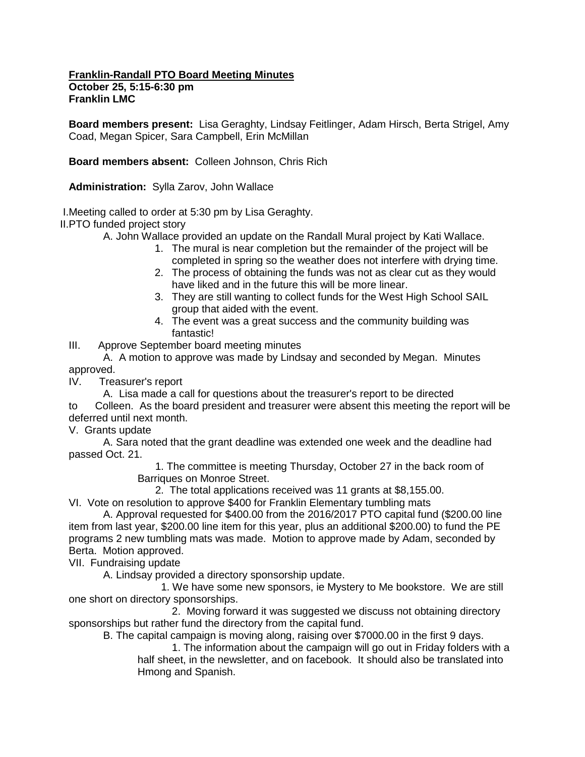**Franklin-Randall PTO Board Meeting Minutes October 25, 5:15-6:30 pm Franklin LMC**

**Board members present:** Lisa Geraghty, Lindsay Feitlinger, Adam Hirsch, Berta Strigel, Amy Coad, Megan Spicer, Sara Campbell, Erin McMillan

**Board members absent:** Colleen Johnson, Chris Rich

**Administration:** Sylla Zarov, John Wallace

I.Meeting called to order at 5:30 pm by Lisa Geraghty.

II.PTO funded project story

A. John Wallace provided an update on the Randall Mural project by Kati Wallace.

- 1. The mural is near completion but the remainder of the project will be completed in spring so the weather does not interfere with drying time.
- 2. The process of obtaining the funds was not as clear cut as they would have liked and in the future this will be more linear.
- 3. They are still wanting to collect funds for the West High School SAIL group that aided with the event.
- 4. The event was a great success and the community building was fantastic!

III. Approve September board meeting minutes

A. A motion to approve was made by Lindsay and seconded by Megan. Minutes approved.

IV. Treasurer's report

A. Lisa made a call for questions about the treasurer's report to be directed to Colleen. As the board president and treasurer were absent this meeting the report will be

deferred until next month.

V. Grants update

A. Sara noted that the grant deadline was extended one week and the deadline had passed Oct. 21.

 1. The committee is meeting Thursday, October 27 in the back room of Barriques on Monroe Street.

2. The total applications received was 11 grants at \$8,155.00.

VI. Vote on resolution to approve \$400 for Franklin Elementary tumbling mats

A. Approval requested for \$400.00 from the 2016/2017 PTO capital fund (\$200.00 line item from last year, \$200.00 line item for this year, plus an additional \$200.00) to fund the PE programs 2 new tumbling mats was made. Motion to approve made by Adam, seconded by Berta. Motion approved.

VII. Fundraising update

A. Lindsay provided a directory sponsorship update.

 1. We have some new sponsors, ie Mystery to Me bookstore. We are still one short on directory sponsorships.

2. Moving forward it was suggested we discuss not obtaining directory sponsorships but rather fund the directory from the capital fund.

B. The capital campaign is moving along, raising over \$7000.00 in the first 9 days.

1. The information about the campaign will go out in Friday folders with a half sheet, in the newsletter, and on facebook. It should also be translated into Hmong and Spanish.